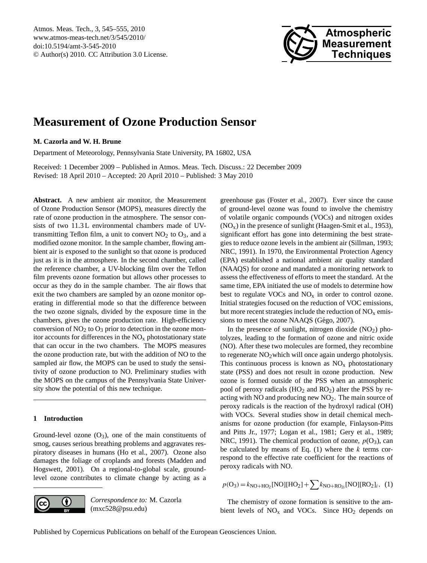<span id="page-0-0"></span>Atmos. Meas. Tech., 3, 545–555, 2010 www.atmos-meas-tech.net/3/545/2010/ doi:10.5194/amt-3-545-2010 © Author(s) 2010. CC Attribution 3.0 License.



# **Measurement of Ozone Production Sensor**

## **M. Cazorla and W. H. Brune**

Department of Meteorology, Pennsylvania State University, PA 16802, USA

Received: 1 December 2009 – Published in Atmos. Meas. Tech. Discuss.: 22 December 2009 Revised: 18 April 2010 – Accepted: 20 April 2010 – Published: 3 May 2010

**Abstract.** A new ambient air monitor, the Measurement of Ozone Production Sensor (MOPS), measures directly the rate of ozone production in the atmosphere. The sensor consists of two 11.3 L environmental chambers made of UVtransmitting Teflon film, a unit to convert  $NO<sub>2</sub>$  to  $O<sub>3</sub>$ , and a modified ozone monitor. In the sample chamber, flowing ambient air is exposed to the sunlight so that ozone is produced just as it is in the atmosphere. In the second chamber, called the reference chamber, a UV-blocking film over the Teflon film prevents ozone formation but allows other processes to occur as they do in the sample chamber. The air flows that exit the two chambers are sampled by an ozone monitor operating in differential mode so that the difference between the two ozone signals, divided by the exposure time in the chambers, gives the ozone production rate. High-efficiency conversion of  $NO<sub>2</sub>$  to  $O<sub>3</sub>$  prior to detection in the ozone monitor accounts for differences in the  $NO<sub>x</sub>$  photostationary state that can occur in the two chambers. The MOPS measures the ozone production rate, but with the addition of NO to the sampled air flow, the MOPS can be used to study the sensitivity of ozone production to NO. Preliminary studies with the MOPS on the campus of the Pennsylvania State University show the potential of this new technique.

# **1 Introduction**

Ground-level ozone  $(O_3)$ , one of the main constituents of smog, causes serious breathing problems and aggravates respiratory diseases in humans (Ho et al., 2007). Ozone also damages the foliage of croplands and forests (Madden and Hogswett, 2001). On a regional-to-global scale, groundlevel ozone contributes to climate change by acting as a



*Correspondence to:* M. Cazorla (mxc528@psu.edu)

greenhouse gas (Foster et al., 2007). Ever since the cause of ground-level ozone was found to involve the chemistry of volatile organic compounds (VOCs) and nitrogen oxides  $(NO<sub>x</sub>)$  in the presence of sunlight (Haagen-Smit et al., 1953), significant effort has gone into determining the best strategies to reduce ozone levels in the ambient air (Sillman, 1993; NRC, 1991). In 1970, the Environmental Protection Agency (EPA) established a national ambient air quality standard (NAAQS) for ozone and mandated a monitoring network to assess the effectiveness of efforts to meet the standard. At the same time, EPA initiated the use of models to determine how best to regulate VOCs and  $NO<sub>x</sub>$  in order to control ozone. Initial strategies focused on the reduction of VOC emissions, but more recent strategies include the reduction of  $NO<sub>x</sub>$  emissions to meet the ozone NAAQS (Gégo, 2007).

In the presence of sunlight, nitrogen dioxide  $(NO<sub>2</sub>)$  photolyzes, leading to the formation of ozone and nitric oxide (NO). After these two molecules are formed, they recombine to regenerate  $NO<sub>2</sub>$  which will once again undergo photolysis. This continuous process is known as  $NO<sub>x</sub>$  photostationary state (PSS) and does not result in ozone production. New ozone is formed outside of the PSS when an atmospheric pool of peroxy radicals (HO<sub>2</sub> and RO<sub>2</sub>) alter the PSS by reacting with NO and producing new  $NO<sub>2</sub>$ . The main source of peroxy radicals is the reaction of the hydroxyl radical (OH) with VOCs. Several studies show in detail chemical mechanisms for ozone production (for example, Finlayson-Pitts and Pitts Jr., 1977; Logan et al., 1981; Gery et al., 1989; NRC, 1991). The chemical production of ozone,  $p(O_3)$ , can be calculated by means of Eq.  $(1)$  where the k terms correspond to the effective rate coefficient for the reactions of peroxy radicals with NO.

$$
p(O_3) = k_{\text{NO} + \text{HO}_2}[\text{NO}][\text{HO}_2] + \sum k_{\text{NO} + \text{RO}_2}[\text{NO}][\text{RO}_2]_i, (1)
$$

The chemistry of ozone formation is sensitive to the ambient levels of  $NO<sub>x</sub>$  and VOCs. Since  $HO<sub>2</sub>$  depends on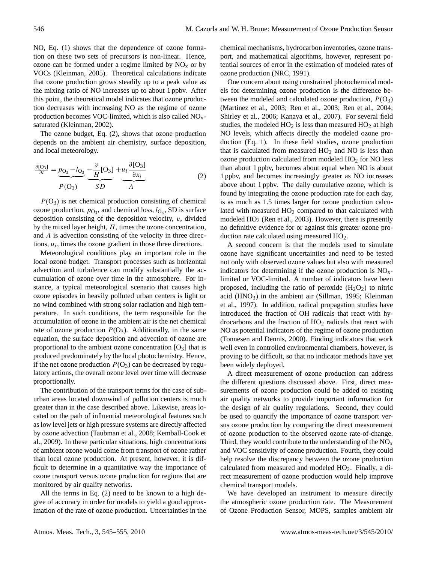NO, Eq. (1) shows that the dependence of ozone formation on these two sets of precursors is non-linear. Hence, ozone can be formed under a regime limited by  $NO<sub>x</sub>$  or by VOCs (Kleinman, 2005). Theoretical calculations indicate that ozone production grows steadily up to a peak value as the mixing ratio of NO increases up to about 1 ppbv. After this point, the theoretical model indicates that ozone production decreases with increasing NO as the regime of ozone production becomes VOC-limited, which is also called  $NO<sub>x</sub>$ saturated (Kleinman, 2002).

The ozone budget, Eq. (2), shows that ozone production depends on the ambient air chemistry, surface deposition, and local meteorology.

$$
\frac{\partial [O_3]}{\partial t} = \underbrace{p_{O_3} - l_{O_3}}_{P(O_3)} \underbrace{-\frac{v}{H}[O_3]}_{SD} + \underbrace{u_i \frac{\partial [O_3]}{\partial x_i}}_{A}
$$
(2)

 $P(O_3)$  is net chemical production consisting of chemical ozone production,  $p_{\text{O}_3}$ , and chemical loss,  $l_{\text{O}_3}$ , SD is surface deposition consisting of the deposition velocity,  $v$ , divided by the mixed layer height,  $H$ , times the ozone concentration, and A is advection consisting of the velocity in three directions,  $u_i$ , times the ozone gradient in those three directions.

Meteorological conditions play an important role in the local ozone budget. Transport processes such as horizontal advection and turbulence can modify substantially the accumulation of ozone over time in the atmosphere. For instance, a typical meteorological scenario that causes high ozone episodes in heavily polluted urban centers is light or no wind combined with strong solar radiation and high temperature. In such conditions, the term responsible for the accumulation of ozone in the ambient air is the net chemical rate of ozone production  $P(O_3)$ . Additionally, in the same equation, the surface deposition and advection of ozone are proportional to the ambient ozone concentration  $[O_3]$  that is produced predominately by the local photochemistry. Hence, if the net ozone production  $P(O_3)$  can be decreased by regulatory actions, the overall ozone level over time will decrease proportionally.

The contribution of the transport terms for the case of suburban areas located downwind of pollution centers is much greater than in the case described above. Likewise, areas located on the path of influential meteorological features such as low level jets or high pressure systems are directly affected by ozone advection (Taubman et al., 2008; Kemball-Cook et al., 2009). In these particular situations, high concentrations of ambient ozone would come from transport of ozone rather than local ozone production. At present, however, it is difficult to determine in a quantitative way the importance of ozone transport versus ozone production for regions that are monitored by air quality networks.

All the terms in Eq. (2) need to be known to a high degree of accuracy in order for models to yield a good approximation of the rate of ozone production. Uncertainties in the chemical mechanisms, hydrocarbon inventories, ozone transport, and mathematical algorithms, however, represent potential sources of error in the estimation of modeled rates of ozone production (NRC, 1991).

One concern about using constrained photochemical models for determining ozone production is the difference between the modeled and calculated ozone production,  $P(O_3)$ (Martinez et al., 2003; Ren et al., 2003; Ren et al., 2004; Shirley et al., 2006; Kanaya et al., 2007). For several field studies, the modeled  $HO<sub>2</sub>$  is less than measured  $HO<sub>2</sub>$  at high NO levels, which affects directly the modeled ozone production (Eq. 1). In these field studies, ozone production that is calculated from measured  $HO<sub>2</sub>$  and NO is less than ozone production calculated from modeled  $HO<sub>2</sub>$  for NO less than about 1 ppbv, becomes about equal when NO is about 1 ppbv, and becomes increasingly greater as NO increases above about 1 ppbv. The daily cumulative ozone, which is found by integrating the ozone production rate for each day, is as much as 1.5 times larger for ozone production calculated with measured  $HO<sub>2</sub>$  compared to that calculated with modeled  $HO<sub>2</sub>$  (Ren et al., 2003). However, there is presently no definitive evidence for or against this greater ozone production rate calculated using measured HO2.

A second concern is that the models used to simulate ozone have significant uncertainties and need to be tested not only with observed ozone values but also with measured indicators for determining if the ozone production is  $NO<sub>x</sub>$ limited or VOC-limited. A number of indicators have been proposed, including the ratio of peroxide  $(H_2O_2)$  to nitric acid  $(HNO<sub>3</sub>)$  in the ambient air (Sillman, 1995; Kleinman et al., 1997). In addition, radical propagation studies have introduced the fraction of OH radicals that react with hydrocarbons and the fraction of  $HO<sub>2</sub>$  radicals that react with NO as potential indicators of the regime of ozone production (Tonnesen and Dennis, 2000). Finding indicators that work well even in controlled environmental chambers, however, is proving to be difficult, so that no indicator methods have yet been widely deployed.

A direct measurement of ozone production can address the different questions discussed above. First, direct measurements of ozone production could be added to existing air quality networks to provide important information for the design of air quality regulations. Second, they could be used to quantify the importance of ozone transport versus ozone production by comparing the direct measurement of ozone production to the observed ozone rate-of-change. Third, they would contribute to the understanding of the  $NO<sub>x</sub>$ and VOC sensitivity of ozone production. Fourth, they could help resolve the discrepancy between the ozone production calculated from measured and modeled HO2. Finally, a direct measurement of ozone production would help improve chemical transport models.

We have developed an instrument to measure directly the atmospheric ozone production rate. The Measurement of Ozone Production Sensor, MOPS, samples ambient air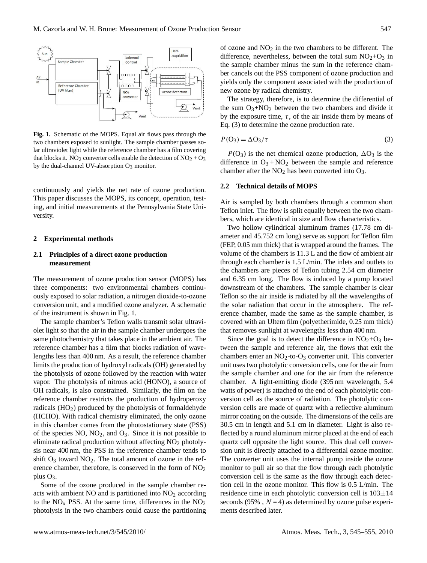

**Fig. 1.** Schematic of the MOPS. Equal air flows pass through the two chambers exposed to sunlight. The sample chamber passes solar ultraviolet light while the reference chamber has a film covering that blocks it. NO<sub>2</sub> converter cells enable the detection of NO<sub>2</sub> + O<sub>3</sub> by the dual-channel UV-absorption  $O_3$  monitor.

continuously and yields the net rate of ozone production. This paper discusses the MOPS, its concept, operation, testing, and initial measurements at the Pennsylvania State University.

## **2 Experimental methods**

# **2.1 Principles of a direct ozone production measurement**

The measurement of ozone production sensor (MOPS) has three components: two environmental chambers continuously exposed to solar radiation, a nitrogen dioxide-to-ozone conversion unit, and a modified ozone analyzer. A schematic of the instrument is shown in Fig. 1.

The sample chamber's Teflon walls transmit solar ultraviolet light so that the air in the sample chamber undergoes the same photochemistry that takes place in the ambient air. The reference chamber has a film that blocks radiation of wavelengths less than 400 nm. As a result, the reference chamber limits the production of hydroxyl radicals (OH) generated by the photolysis of ozone followed by the reaction with water vapor. The photolysis of nitrous acid (HONO), a source of OH radicals, is also constrained. Similarly, the film on the reference chamber restricts the production of hydroperoxy radicals (HO2) produced by the photolysis of formaldehyde (HCHO). With radical chemistry eliminated, the only ozone in this chamber comes from the photostationary state (PSS) of the species  $NO$ ,  $NO<sub>2</sub>$ , and  $O<sub>3</sub>$ . Since it is not possible to eliminate radical production without affecting  $NO<sub>2</sub>$  photolysis near 400 nm, the PSS in the reference chamber tends to shift  $O_3$  toward  $NO_2$ . The total amount of ozone in the reference chamber, therefore, is conserved in the form of  $NO<sub>2</sub>$ plus  $O_3$ .

Some of the ozone produced in the sample chamber reacts with ambient NO and is partitioned into  $NO<sub>2</sub>$  according to the  $NO<sub>x</sub>$  PSS. At the same time, differences in the  $NO<sub>2</sub>$ photolysis in the two chambers could cause the partitioning of ozone and  $NO<sub>2</sub>$  in the two chambers to be different. The difference, nevertheless, between the total sum  $NO<sub>2</sub>+O<sub>3</sub>$  in the sample chamber minus the sum in the reference chamber cancels out the PSS component of ozone production and yields only the component associated with the production of new ozone by radical chemistry.

The strategy, therefore, is to determine the differential of the sum  $O_3 + NO_2$  between the two chambers and divide it by the exposure time,  $\tau$ , of the air inside them by means of Eq. (3) to determine the ozone production rate.

$$
P(O_3) = \Delta O_3 / \tau \tag{3}
$$

 $P(O_3)$  is the net chemical ozone production,  $\Delta O_3$  is the difference in  $O_3 + NO_2$  between the sample and reference chamber after the  $NO<sub>2</sub>$  has been converted into  $O<sub>3</sub>$ .

## **2.2 Technical details of MOPS**

Air is sampled by both chambers through a common short Teflon inlet. The flow is split equally between the two chambers, which are identical in size and flow characteristics.

Two hollow cylindrical aluminum frames (17.78 cm diameter and 45.752 cm long) serve as support for Teflon film (FEP, 0.05 mm thick) that is wrapped around the frames. The volume of the chambers is 11.3 L and the flow of ambient air through each chamber is 1.5 L/min. The inlets and outlets to the chambers are pieces of Teflon tubing 2.54 cm diameter and 6.35 cm long. The flow is induced by a pump located downstream of the chambers. The sample chamber is clear Teflon so the air inside is radiated by all the wavelengths of the solar radiation that occur in the atmosphere. The reference chamber, made the same as the sample chamber, is covered with an Ultem film (polyetherimide, 0.25 mm thick) that removes sunlight at wavelengths less than 400 nm.

Since the goal is to detect the difference in  $NO<sub>2</sub>+O<sub>3</sub>$  between the sample and reference air, the flows that exit the chambers enter an  $NO<sub>2</sub>$ -to- $O<sub>3</sub>$  converter unit. This converter unit uses two photolytic conversion cells, one for the air from the sample chamber and one for the air from the reference chamber. A light-emitting diode (395 nm wavelength, 5.4 watts of power) is attached to the end of each photolytic conversion cell as the source of radiation. The photolytic conversion cells are made of quartz with a reflective aluminum mirror coating on the outside. The dimensions of the cells are 30.5 cm in length and 5.1 cm in diameter. Light is also reflected by a round aluminum mirror placed at the end of each quartz cell opposite the light source. This dual cell conversion unit is directly attached to a differential ozone monitor. The converter unit uses the internal pump inside the ozone monitor to pull air so that the flow through each photolytic conversion cell is the same as the flow through each detection cell in the ozone monitor. This flow is 0.5 L/min. The residence time in each photolytic conversion cell is 103±14 seconds (95%,  $N = 4$ ) as determined by ozone pulse experiments described later.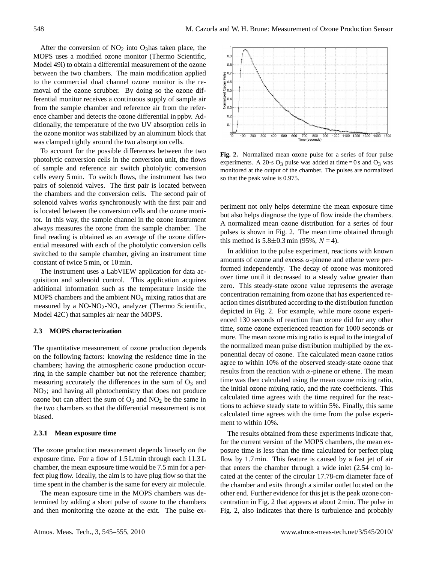After the conversion of  $NO<sub>2</sub>$  into  $O<sub>3</sub>$  has taken place, the MOPS uses a modified ozone monitor (Thermo Scientific, Model 49i) to obtain a differential measurement of the ozone between the two chambers. The main modification applied to the commercial dual channel ozone monitor is the removal of the ozone scrubber. By doing so the ozone differential monitor receives a continuous supply of sample air from the sample chamber and reference air from the reference chamber and detects the ozone differential in ppbv. Additionally, the temperature of the two UV absorption cells in the ozone monitor was stabilized by an aluminum block that was clamped tightly around the two absorption cells.

To account for the possible differences between the two photolytic conversion cells in the conversion unit, the flows of sample and reference air switch photolytic conversion cells every 5 min. To switch flows, the instrument has two pairs of solenoid valves. The first pair is located between the chambers and the conversion cells. The second pair of solenoid valves works synchronously with the first pair and is located between the conversion cells and the ozone monitor. In this way, the sample channel in the ozone instrument always measures the ozone from the sample chamber. The final reading is obtained as an average of the ozone differential measured with each of the photolytic conversion cells switched to the sample chamber, giving an instrument time constant of twice 5 min, or 10 min.

The instrument uses a LabVIEW application for data acquisition and solenoid control. This application acquires additional information such as the temperature inside the MOPS chambers and the ambient  $NO<sub>x</sub>$  mixing ratios that are measured by a  $NO-NO<sub>2</sub>-NO<sub>x</sub>$  analyzer (Thermo Scientific, Model 42C) that samples air near the MOPS.

# **2.3 MOPS characterization**

The quantitative measurement of ozone production depends on the following factors: knowing the residence time in the chambers; having the atmospheric ozone production occurring in the sample chamber but not the reference chamber; measuring accurately the differences in the sum of  $O_3$  and NO2; and having all photochemistry that does not produce ozone but can affect the sum of  $O_3$  and  $NO_2$  be the same in the two chambers so that the differential measurement is not biased.

# **2.3.1 Mean exposure time**

The ozone production measurement depends linearly on the exposure time. For a flow of 1.5 L/min through each 11.3 L chamber, the mean exposure time would be 7.5 min for a perfect plug flow. Ideally, the aim is to have plug flow so that the time spent in the chamber is the same for every air molecule.

The mean exposure time in the MOPS chambers was determined by adding a short pulse of ozone to the chambers and then monitoring the ozone at the exit. The pulse ex-



**Fig. 2.** Normalized mean ozone pulse for a series of four pulse experiments. A 20-s  $O_3$  pulse was added at time = 0 s and  $O_3$  was monitored at the output of the chamber. The pulses are normalized so that the peak value is 0.975.

periment not only helps determine the mean exposure time but also helps diagnose the type of flow inside the chambers. A normalized mean ozone distribution for a series of four pulses is shown in Fig. 2. The mean time obtained through this method is  $5.8 \pm 0.3$  min (95%,  $N = 4$ ).

In addition to the pulse experiment, reactions with known amounts of ozone and excess  $\alpha$ -pinene and ethene were performed independently. The decay of ozone was monitored over time until it decreased to a steady value greater than zero. This steady-state ozone value represents the average concentration remaining from ozone that has experienced reaction times distributed according to the distribution function depicted in Fig. 2. For example, while more ozone experienced 130 seconds of reaction than ozone did for any other time, some ozone experienced reaction for 1000 seconds or more. The mean ozone mixing ratio is equal to the integral of the normalized mean pulse distribution multiplied by the exponential decay of ozone. The calculated mean ozone ratios agree to within 10% of the observed steady-state ozone that results from the reaction with  $\alpha$ -pinene or ethene. The mean time was then calculated using the mean ozone mixing ratio, the initial ozone mixing ratio, and the rate coefficients. This calculated time agrees with the time required for the reactions to achieve steady state to within 5%. Finally, this same calculated time agrees with the time from the pulse experiment to within 10%.

The results obtained from these experiments indicate that, for the current version of the MOPS chambers, the mean exposure time is less than the time calculated for perfect plug flow by 1.7 min. This feature is caused by a fast jet of air that enters the chamber through a wide inlet (2.54 cm) located at the center of the circular 17.78-cm diameter face of the chamber and exits through a similar outlet located on the other end. Further evidence for this jet is the peak ozone concentration in Fig. 2 that appears at about 2 min. The pulse in Fig. 2, also indicates that there is turbulence and probably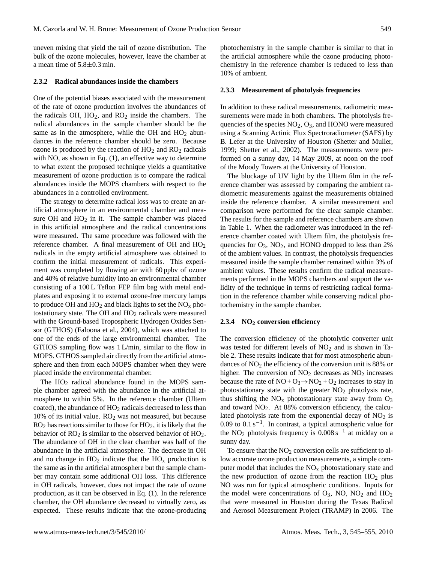uneven mixing that yield the tail of ozone distribution. The bulk of the ozone molecules, however, leave the chamber at a mean time of  $5.8\pm0.3$  min.

#### **2.3.2 Radical abundances inside the chambers**

One of the potential biases associated with the measurement of the rate of ozone production involves the abundances of the radicals  $OH$ ,  $HO<sub>2</sub>$ , and  $RO<sub>2</sub>$  inside the chambers. The radical abundances in the sample chamber should be the same as in the atmosphere, while the OH and  $HO<sub>2</sub>$  abundances in the reference chamber should be zero. Because ozone is produced by the reaction of  $HO<sub>2</sub>$  and  $RO<sub>2</sub>$  radicals with NO, as shown in Eq.  $(1)$ , an effective way to determine to what extent the proposed technique yields a quantitative measurement of ozone production is to compare the radical abundances inside the MOPS chambers with respect to the abundances in a controlled environment.

The strategy to determine radical loss was to create an artificial atmosphere in an environmental chamber and measure OH and  $HO<sub>2</sub>$  in it. The sample chamber was placed in this artificial atmosphere and the radical concentrations were measured. The same procedure was followed with the reference chamber. A final measurement of OH and HO<sup>2</sup> radicals in the empty artificial atmosphere was obtained to confirm the initial measurement of radicals. This experiment was completed by flowing air with 60 ppbv of ozone and 40% of relative humidity into an environmental chamber consisting of a 100L Teflon FEP film bag with metal endplates and exposing it to external ozone-free mercury lamps to produce OH and  $HO_2$  and black lights to set the  $NO_x$  photostationary state. The OH and  $HO<sub>2</sub>$  radicals were measured with the Ground-based Tropospheric Hydrogen Oxides Sensor (GTHOS) (Faloona et al., 2004), which was attached to one of the ends of the large environmental chamber. The GTHOS sampling flow was 1 L/min, similar to the flow in MOPS. GTHOS sampled air directly from the artificial atmosphere and then from each MOPS chamber when they were placed inside the environmental chamber.

The  $HO<sub>2</sub>$  radical abundance found in the MOPS sample chamber agreed with the abundance in the artificial atmosphere to within 5%. In the reference chamber (Ultem coated), the abundance of  $HO<sub>2</sub>$  radicals decreased to less than 10% of its initial value.  $RO<sub>2</sub>$  was not measured, but because  $RO<sub>2</sub>$  has reactions similar to those for  $HO<sub>2</sub>$ , it is likely that the behavior of  $RO<sub>2</sub>$  is similar to the observed behavior of  $HO<sub>2</sub>$ . The abundance of OH in the clear chamber was half of the abundance in the artificial atmosphere. The decrease in OH and no change in  $HO_2$  indicate that the  $HO_x$  production is the same as in the artificial atmosphere but the sample chamber may contain some additional OH loss. This difference in OH radicals, however, does not impact the rate of ozone production, as it can be observed in Eq. (1). In the reference chamber, the OH abundance decreased to virtually zero, as expected. These results indicate that the ozone-producing photochemistry in the sample chamber is similar to that in the artificial atmosphere while the ozone producing photochemistry in the reference chamber is reduced to less than 10% of ambient.

#### **2.3.3 Measurement of photolysis frequencies**

In addition to these radical measurements, radiometric measurements were made in both chambers. The photolysis frequencies of the species  $NO<sub>2</sub>, O<sub>3</sub>$ , and HONO were measured using a Scanning Actinic Flux Spectroradiometer (SAFS) by B. Lefer at the University of Houston (Shetter and Muller, 1999; Shetter et al., 2002). The measurements were performed on a sunny day, 14 May 2009, at noon on the roof of the Moody Towers at the University of Houston.

The blockage of UV light by the Ultem film in the reference chamber was assessed by comparing the ambient radiometric measurements against the measurements obtained inside the reference chamber. A similar measurement and comparison were performed for the clear sample chamber. The results for the sample and reference chambers are shown in Table 1. When the radiometer was introduced in the reference chamber coated with Ultem film, the photolysis frequencies for  $O_3$ ,  $NO_2$ , and HONO dropped to less than 2% of the ambient values. In contrast, the photolysis frequencies measured inside the sample chamber remained within 3% of ambient values. These results confirm the radical measurements performed in the MOPS chambers and support the validity of the technique in terms of restricting radical formation in the reference chamber while conserving radical photochemistry in the sample chamber.

#### **2.3.4 NO<sup>2</sup> conversion efficiency**

The conversion efficiency of the photolytic converter unit was tested for different levels of  $NO<sub>2</sub>$  and is shown in Table 2. These results indicate that for most atmospheric abundances of NO<sub>2</sub> the efficiency of the conversion unit is 88% or higher. The conversion of  $NO<sub>2</sub>$  decreases as  $NO<sub>2</sub>$  increases because the rate of  $NO + O_3 \rightarrow NO_2 + O_2$  increases to stay in photostationary state with the greater  $NO<sub>2</sub>$  photolysis rate, thus shifting the  $NO<sub>x</sub>$  photostationary state away from  $O<sub>3</sub>$ and toward  $NO<sub>2</sub>$ . At 88% conversion efficiency, the calculated photolysis rate from the exponential decay of  $NO<sub>2</sub>$  is 0.09 to 0.1 s−<sup>1</sup> . In contrast, a typical atmospheric value for the NO<sub>2</sub> photolysis frequency is  $0.008 s^{-1}$  at midday on a sunny day.

To ensure that the  $NO<sub>2</sub>$  conversion cells are sufficient to allow accurate ozone production measurements, a simple computer model that includes the  $NO<sub>x</sub>$  photostationary state and the new production of ozone from the reaction  $HO<sub>2</sub>$  plus NO was run for typical atmospheric conditions. Inputs for the model were concentrations of  $O_3$ , NO, NO<sub>2</sub> and HO<sub>2</sub> that were measured in Houston during the Texas Radical and Aerosol Measurement Project (TRAMP) in 2006. The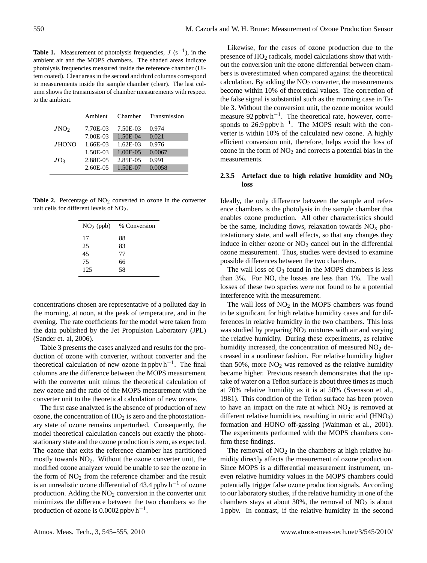**Table 1.** Measurement of photolysis frequencies,  $J(s^{-1})$ , in the ambient air and the MOPS chambers. The shaded areas indicate photolysis frequencies measured inside the reference chamber (Ultem coated). Clear areas in the second and third columns correspond to measurements inside the sample chamber (clear). The last column shows the transmission of chamber measurements with respect to the ambient.

|                  | Ambient  | Chamber     | Transmission |
|------------------|----------|-------------|--------------|
| JNO <sub>2</sub> | 7.70E-03 | 7.50E-03    | 0.974        |
|                  | 7.00E-03 | 1.50E-04    | 0.021        |
| JHONO            | 1.66E-03 | $1.62E-03$  | 0.976        |
|                  | 1.50E-03 | $1.00E-0.5$ | 0.0067       |
| JO <sub>3</sub>  | 2.88E-05 | 2.85E-05    | 0.991        |
|                  | 2.60E-05 | 1.50E-07    | 0.0058       |

**Table 2.** Percentage of  $NO<sub>2</sub>$  converted to ozone in the converter unit cells for different levels of NO<sub>2</sub>.

| $NO2$ (ppb) | % Conversion |  |  |  |
|-------------|--------------|--|--|--|
| 17          | 88           |  |  |  |
| 25          | 83           |  |  |  |
| 45          | 77           |  |  |  |
| 75          | 66           |  |  |  |
| 125         | 58           |  |  |  |
|             |              |  |  |  |

concentrations chosen are representative of a polluted day in the morning, at noon, at the peak of temperature, and in the evening. The rate coefficients for the model were taken from the data published by the Jet Propulsion Laboratory (JPL) (Sander et. al, 2006).

Table 3 presents the cases analyzed and results for the production of ozone with converter, without converter and the theoretical calculation of new ozone in ppbv  $h^{-1}$ . The final columns are the difference between the MOPS measurement with the converter unit minus the theoretical calculation of new ozone and the ratio of the MOPS measurement with the converter unit to the theoretical calculation of new ozone.

The first case analyzed is the absence of production of new ozone, the concentration of  $HO<sub>2</sub>$  is zero and the photostationary state of ozone remains unperturbed. Consequently, the model theoretical calculation cancels out exactly the photostationary state and the ozone production is zero, as expected. The ozone that exits the reference chamber has partitioned mostly towards  $NO<sub>2</sub>$ . Without the ozone converter unit, the modified ozone analyzer would be unable to see the ozone in the form of  $NO<sub>2</sub>$  from the reference chamber and the result is an unrealistic ozone differential of 43.4 ppbv  $h^{-1}$  of ozone production. Adding the  $NO<sub>2</sub>$  conversion in the converter unit minimizes the difference between the two chambers so the production of ozone is  $0.0002$  ppbv  $h^{-1}$ .

Likewise, for the cases of ozone production due to the presence of  $HO<sub>2</sub>$  radicals, model calculations show that without the conversion unit the ozone differential between chambers is overestimated when compared against the theoretical calculation. By adding the  $NO<sub>2</sub>$  converter, the measurements become within 10% of theoretical values. The correction of the false signal is substantial such as the morning case in Table 3. Without the conversion unit, the ozone monitor would measure 92 ppbv h<sup>-1</sup>. The theoretical rate, however, corresponds to  $26.9$  ppbv h<sup>-1</sup>. The MOPS result with the converter is within 10% of the calculated new ozone. A highly efficient conversion unit, therefore, helps avoid the loss of ozone in the form of  $NO<sub>2</sub>$  and corrects a potential bias in the measurements.

# **2.3.5 Artefact due to high relative humidity and NO<sup>2</sup> loss**

Ideally, the only difference between the sample and reference chambers is the photolysis in the sample chamber that enables ozone production. All other characteristics should be the same, including flows, relaxation towards  $NO<sub>x</sub>$  photostationary state, and wall effects, so that any changes they induce in either ozone or  $NO<sub>2</sub>$  cancel out in the differential ozone measurement. Thus, studies were devised to examine possible differences between the two chambers.

The wall loss of  $O_3$  found in the MOPS chambers is less than 3%. For NO, the losses are less than 1%. The wall losses of these two species were not found to be a potential interference with the measurement.

The wall loss of  $NO<sub>2</sub>$  in the MOPS chambers was found to be significant for high relative humidity cases and for differences in relative humidity in the two chambers. This loss was studied by preparing  $NO<sub>2</sub>$  mixtures with air and varying the relative humidity. During these experiments, as relative humidity increased, the concentration of measured  $NO<sub>2</sub>$  decreased in a nonlinear fashion. For relative humidity higher than 50%, more  $NO<sub>2</sub>$  was removed as the relative humidity became higher. Previous research demonstrates that the uptake of water on a Teflon surface is about three times as much at 70% relative humidity as it is at 50% (Svensson et al., 1981). This condition of the Teflon surface has been proven to have an impact on the rate at which  $NO<sub>2</sub>$  is removed at different relative humidities, resulting in nitric acid  $(HNO<sub>3</sub>)$ formation and HONO off-gassing (Wainman et al., 2001). The experiments performed with the MOPS chambers confirm these findings.

The removal of  $NO<sub>2</sub>$  in the chambers at high relative humidity directly affects the meaurement of ozone production. Since MOPS is a differential measurement instrument, uneven relative humidity values in the MOPS chambers could potentially trigger false ozone production signals. According to our laboratory studies, if the relative humidity in one of the chambers stays at about 30%, the removal of  $NO<sub>2</sub>$  is about 1 ppbv. In contrast, if the relative humidity in the second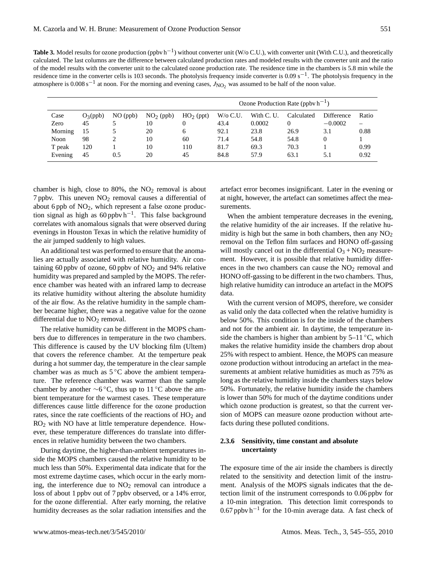Table 3. Model results for ozone production (ppbv h<sup>-1</sup>) without converter unit (W/o C.U.), with converter unit (With C.U.), and theoretically calculated. The last columns are the difference between calculated production rates and modeled results with the converter unit and the ratio of the model results with the converter unit to the calculated ozone production rate. The residence time in the chambers is 5.8 min while the residence time in the converter cells is 103 seconds. The photolysis frequency inside converter is  $0.09 \text{ s}^{-1}$ . The photolysis frequency in the atmosphere is  $0.008 \text{ s}^{-1}$  at noon. For the morning and evening cases,  $J_{\text{NO}_2}$  was assumed to be half of the noon value.

|         |            |            |             |             | Ozone Production Rate (ppby $h^{-1}$ ) |            |            |                   |       |
|---------|------------|------------|-------------|-------------|----------------------------------------|------------|------------|-------------------|-------|
| Case    | $O_3(ppb)$ | $NO$ (ppb) | $NO2$ (ppb) | $HO2$ (ppt) | $W$ /0 C.U.                            | With C. U. | Calculated | <b>Difference</b> | Ratio |
| Zero    | 45         |            | 10          |             | 43.4                                   | 0.0002     |            | $-0.0002$         |       |
| Morning | 15         |            | 20          | 6           | 92.1                                   | 23.8       | 26.9       | 3.1               | 0.88  |
| Noon    | 98         | ↑          | 10          | 60          | 71.4                                   | 54.8       | 54.8       |                   |       |
| T peak  | 120        |            | 10          | 110         | 81.7                                   | 69.3       | 70.3       |                   | 0.99  |
| Evening | 45         | 0.5        | 20          | 45          | 84.8                                   | 57.9       | 63.1       | 5.1               | 0.92  |

chamber is high, close to  $80\%$ , the  $NO<sub>2</sub>$  removal is about 7 ppbv. This uneven  $NO<sub>2</sub>$  removal causes a differential of about 6 ppb of  $NO<sub>2</sub>$ , which represent a false ozone production signal as high as  $60$  ppbv h<sup>-1</sup>. This false background correlates with anomalous signals that were observed during evenings in Houston Texas in which the relative humidity of the air jumped suddenly to high values.

An additional test was performed to ensure that the anomalies are actually associated with relative humidity. Air containing 60 ppbv of ozone, 60 ppbv of  $NO<sub>2</sub>$  and 94% relative humidity was prepared and sampled by the MOPS. The reference chamber was heated with an infrared lamp to decrease its relative humidity without altering the absolute humidity of the air flow. As the relative humidity in the sample chamber became higher, there was a negative value for the ozone differential due to  $NO<sub>2</sub>$  removal.

The relative humidity can be different in the MOPS chambers due to differences in temperature in the two chambers. This difference is caused by the UV blocking film (Ultem) that covers the reference chamber. At the temperture peak during a hot summer day, the temperature in the clear sample chamber was as much as  $5^{\circ}$ C above the ambient temperature. The reference chamber was warmer than the sample chamber by another  $\sim$ 6 °C, thus up to 11 °C above the ambient temperature for the warmest cases. These temperature differences cause little difference for the ozone production rates, since the rate coefficients of the reactions of HO<sub>2</sub> and  $RO<sub>2</sub>$  with NO have at little temperature dependence. However, these temperature differences do translate into differences in relative humidity between the two chambers.

During daytime, the higher-than-ambient temperatures inside the MOPS chambers caused the relative humidity to be much less than 50%. Experimental data indicate that for the most extreme daytime cases, which occur in the early morning, the interference due to  $NO<sub>2</sub>$  removal can introduce a loss of about 1 ppbv out of 7 ppbv observed, or a 14% error, for the ozone differential. After early morning, the relative humidity decreases as the solar radiation intensifies and the artefact error becomes insignificant. Later in the evening or at night, however, the artefact can sometimes affect the measurements.

When the ambient temperature decreases in the evening, the relative humidity of the air increases. If the relative humidity is high but the same in both chambers, then any  $NO<sub>2</sub>$ removal on the Teflon film surfaces and HONO off-gassing will mostly cancel out in the differential  $O_3 + NO_2$  measurement. However, it is possible that relative humidity differences in the two chambers can cause the  $NO<sub>2</sub>$  removal and HONO off-gassing to be different in the two chambers. Thus, high relative humidity can introduce an artefact in the MOPS data.

With the current version of MOPS, therefore, we consider as valid only the data collected when the relative humidity is below 50%. This condition is for the inside of the chambers and not for the ambient air. In daytime, the temperature inside the chambers is higher than ambient by  $5-11 \degree C$ , which makes the relative humidity inside the chambers drop about 25% with respect to ambient. Hence, the MOPS can measure ozone production without introducing an artefact in the measurements at ambient relative humidities as much as 75% as long as the relative humidity inside the chambers stays below 50%. Fortunately, the relative humidity inside the chambers is lower than 50% for much of the daytime conditions under which ozone production is greatest, so that the current version of MOPS can measure ozone production without artefacts during these polluted conditions.

# **2.3.6 Sensitivity, time constant and absolute uncertainty**

The exposure time of the air inside the chambers is directly related to the sensitivity and detection limit of the instrument. Analysis of the MOPS signals indicates that the detection limit of the instrument corresponds to 0.06 ppbv for a 10-min integration. This detection limit corresponds to 0.67 ppbv h−<sup>1</sup> for the 10-min average data. A fast check of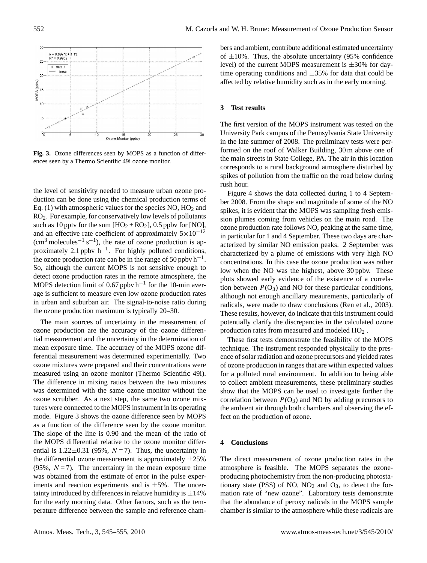

**Fig. 3.** Ozone differences seen by MOPS as a function of differences seen by a Thermo Scientific 49i ozone monitor.

the level of sensitivity needed to measure urban ozone production can be done using the chemical production terms of Eq. (1) with atmospheric values for the species  $NO, HO<sub>2</sub>$  and RO2. For example, for conservatively low levels of pollutants such as 10 pptv for the sum  $[HO_2 + RO_2]$ , 0.5 ppbv for [NO], and an effective rate coefficient of approximately  $5 \times 10^{-12}$  $\rm (cm^3\ molecules^{-1}\ s^{-1})$ , the rate of ozone production is approximately 2.1 ppbv  $h^{-1}$ . For highly polluted conditions, the ozone production rate can be in the range of 50 ppbv  $h^{-1}$ . So, although the current MOPS is not sensitive enough to detect ozone production rates in the remote atmosphere, the MOPS detection limit of 0.67 ppbv  $h^{-1}$  for the 10-min average is sufficient to measure even low ozone production rates in urban and suburban air. The signal-to-noise ratio during the ozone production maximum is typically 20–30.

The main sources of uncertainty in the measurement of ozone production are the accuracy of the ozone differential measurement and the uncertainty in the determination of mean exposure time. The accuracy of the MOPS ozone differential measurement was determined experimentally. Two ozone mixtures were prepared and their concentrations were measured using an ozone monitor (Thermo Scientific 49i). The difference in mixing ratios between the two mixtures was determined with the same ozone monitor without the ozone scrubber. As a next step, the same two ozone mixtures were connected to the MOPS instrument in its operating mode. Figure 3 shows the ozone difference seen by MOPS as a function of the difference seen by the ozone monitor. The slope of the line is 0.90 and the mean of the ratio of the MOPS differential relative to the ozone monitor differential is  $1.22\pm0.31$  (95%,  $N=7$ ). Thus, the uncertainty in the differential ozone measurement is approximately  $\pm 25\%$ (95%,  $N = 7$ ). The uncertainty in the mean exposure time was obtained from the estimate of error in the pulse experiments and reaction experiments and is  $\pm 5$ %. The uncertainty introduced by differences in relative humidity is  $\pm 14\%$ for the early morning data. Other factors, such as the temperature difference between the sample and reference chambers and ambient, contribute additional estimated uncertainty of  $\pm 10\%$ . Thus, the absolute uncertainty (95% confidence level) of the current MOPS measurement is  $\pm 30\%$  for daytime operating conditions and  $\pm 35\%$  for data that could be affected by relative humidity such as in the early morning.

## **3 Test results**

The first version of the MOPS instrument was tested on the University Park campus of the Pennsylvania State University in the late summer of 2008. The preliminary tests were performed on the roof of Walker Building, 30 m above one of the main streets in State College, PA. The air in this location corresponds to a rural background atmosphere disturbed by spikes of pollution from the traffic on the road below during rush hour.

Figure 4 shows the data collected during 1 to 4 September 2008. From the shape and magnitude of some of the NO spikes, it is evident that the MOPS was sampling fresh emission plumes coming from vehicles on the main road. The ozone production rate follows NO, peaking at the same time, in particular for 1 and 4 September. These two days are characterized by similar NO emission peaks. 2 September was characterized by a plume of emissions with very high NO concentrations. In this case the ozone production was rather low when the NO was the highest, above 30 ppbv. These plots showed early evidence of the existence of a correlation between  $P(O_3)$  and NO for these particular conditions, although not enough ancillary meaurements, particularly of radicals, were made to draw conclusions (Ren et al., 2003). These results, however, do indicate that this instrument could potentially clarify the discrepancies in the calculated ozone production rates from measured and modeled HO<sup>2</sup> .

These first tests demonstrate the feasibility of the MOPS technique. The instrument responded physically to the presence of solar radiation and ozone precursors and yielded rates of ozone production in ranges that are within expected values for a polluted rural environment. In addition to being able to collect ambient measurements, these preliminary studies show that the MOPS can be used to investigate further the correlation between  $P(O_3)$  and NO by adding precursors to the ambient air through both chambers and observing the effect on the production of ozone.

## **4 Conclusions**

The direct measurement of ozone production rates in the atmosphere is feasible. The MOPS separates the ozoneproducing photochemistry from the non-producing photostationary state (PSS) of NO,  $NO<sub>2</sub>$  and  $O<sub>3</sub>$ , to detect the formation rate of "new ozone". Laboratory tests demonstrate that the abundance of peroxy radicals in the MOPS sample chamber is similar to the atmosphere while these radicals are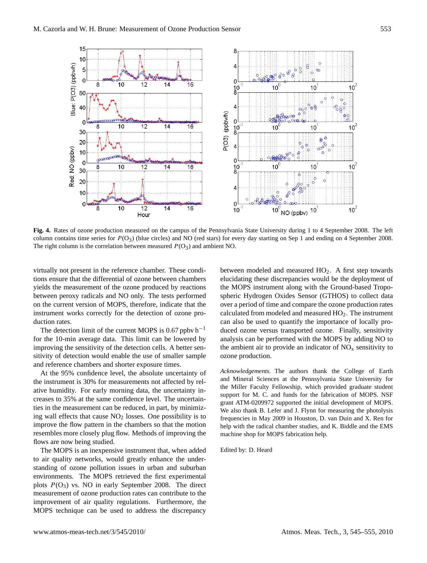

**Fig. 4.** Rates of ozone production measured on the campus of the Pennsylvania State University during 1 to 4 September 2008. The left column contains time series for P(O3) (blue circles) and NO (red stars) for every day starting on Sep 1 and ending on 4 September 2008. The right column is the correlation between measured  $P(O_3)$  and ambient NO.

virtually not present in the reference chamber. These conditions ensure that the differential of ozone between chambers yields the measurement of the ozone produced by reactions between peroxy radicals and NO only. The tests performed on the current version of MOPS, therefore, indicate that the instrument works correctly for the detection of ozone production rates.

The detection limit of the current MOPS is 0.67 ppbv  $h^{-1}$ for the 10-min average data. This limit can be lowered by improving the sensitivity of the detection cells. A better sensitivity of detection would enable the use of smaller sample and reference chambers and shorter exposure times.

At the 95% confidence level, the absolute uncertainty of the instrument is 30% for measurements not affected by relative humidity. For early morning data, the uncertainty increases to 35% at the same confidence level. The uncertainties in the measurement can be reduced, in part, by minimizing wall effects that cause  $NO<sub>2</sub>$  losses. One possibility is to improve the flow pattern in the chambers so that the motion resembles more closely plug flow. Methods of improving the flows are now being studied.

The MOPS is an inexpensive instrument that, when added to air quality networks, would greatly enhance the understanding of ozone pollution issues in urban and suburban environments. The MOPS retrieved the first experimental plots  $P(O_3)$  vs. NO in early September 2008. The direct measurement of ozone production rates can contribute to the improvement of air quality regulations. Furthermore, the MOPS technique can be used to address the discrepancy between modeled and measured HO2. A first step towards elucidating these discrepancies would be the deployment of the MOPS instrument along with the Ground-based Tropospheric Hydrogen Oxides Sensor (GTHOS) to collect data over a period of time and compare the ozone production rates calculated from modeled and measured  $HO<sub>2</sub>$ . The instrument can also be used to quantify the importance of locally produced ozone versus transported ozone. Finally, sensitivity analysis can be performed with the MOPS by adding NO to the ambient air to provide an indicator of  $NO<sub>x</sub>$  sensitivity to ozone production.

*Acknowledgements.* The authors thank the College of Earth and Mineral Sciences at the Pennsylvania State University for the Miller Faculty Fellowship, which provided graduate student support for M. C. and funds for the fabrication of MOPS. NSF grant ATM-0209972 supported the initial development of MOPS. We also thank B. Lefer and J. Flynn for measuring the photolysis frequencies in May 2009 in Houston, D. van Duin and X. Ren for help with the radical chamber studies, and K. Biddle and the EMS machine shop for MOPS fabrication help.

Edited by: D. Heard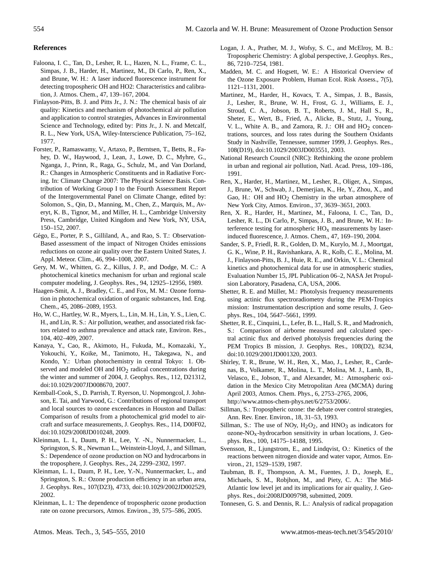## **References**

- Faloona, I. C., Tan, D., Lesher, R. L., Hazen, N. L., Frame, C. L., Simpas, J. B., Harder, H., Martinez, M., Di Carlo, P., Ren, X., and Brune, W. H.: A laser induced fluorescence instrument for detecting tropospheric OH and HO2: Characteristics and calibration, J. Atmos. Chem., 47, 139–167, 2004.
- Finlayson-Pitts, B. J. and Pitts Jr., J. N.: The chemical basis of air quality: Kinetics and mechanism of photochemical air pollution and application to control strategies, Advances in Environmental Science and Technology, edited by: Pitts Jr., J. N. and Metcalf, R. L., New York, USA, Wiley-Interscience Publication, 75–162, 1977.
- Forster, P., Ramaswamy, V., Artaxo, P., Berntsen, T., Betts, R., Fahey, D. W., Haywood, J., Lean, J., Lowe, D. C., Myhre, G., Nganga, J., Prinn, R., Raga, G., Schulz, M., and Van Dorland, R.: Changes in Atmospheric Constituents and in Radiative Forcing. In: Climate Change 2007: The Physical Science Basis. Contribution of Working Group I to the Fourth Assessment Report of the Intergovernmental Panel on Climate Change, edited by: Solomon, S., Qin, D., Manning, M., Chen, Z., Marquis, M., Averyt, K. B., Tignor, M., and Miller, H. L., Cambridge University Press, Cambridge, United Kingdom and New York, NY, USA, 150–152, 2007.
- Gégo, E., Porter, P. S., Gilliland, A., and Rao, S. T.: Observation-Based assessment of the impact of Nitrogen Oxides emissions reductions on ozone air quality over the Eastern United States, J. Appl. Meteor. Clim., 46, 994–1008, 2007.
- Gery, M. W., Whitten, G. Z., Killus, J. P., and Dodge, M. C.: A photochemical kinetics mechanism for urban and regional scale computer modeling, J. Geophys. Res., 94, 12925–12956, 1989.
- Haagen-Smit, A. J., Bradley, C. E., and Fox, M. M.: Ozone formation in photochemical oxidation of organic substances, Ind. Eng. Chem., 45, 2086–2089, 1953.
- Ho, W. C., Hartley, W. R., Myers, L., Lin, M. H., Lin, Y. S., Lien, C. H., and Lin, R. S.: Air pollution, weather, and associated risk factors related to asthma prevalence and attack rate, Environ. Res., 104, 402–409, 2007.
- Kanaya, Y., Cao, R., Akimoto, H., Fukuda, M., Komazaki, Y., Yokouchi, Y., Koike, M., Tanimoto, H., Takegawa, N., and Kondo, Y.: Urban photochemistry in central Tokyo: 1. Observed and modeled OH and  $HO<sub>2</sub>$  radical concentrations during the winter and summer of 2004, J. Geophys. Res., 112, D21312, doi:10.1029/2007JD008670, 2007.
- Kemball-Cook, S., D. Parrish, T. Ryerson, U. Nopmongcol, J. Johnson, E. Tai, and Yarwood, G.: Contributions of regional transport and local sources to ozone exceedances in Houston and Dallas: Comparison of results from a photochemical grid model to aircraft and surface measurements, J. Geophys. Res., 114, D00F02, doi:10.1029/2008JD010248, 2009.
- Kleinman, L. I., Daum, P. H., Lee, Y. -N., Nunnermacker, L., Springston, S. R., Newman L., Weinstein-Lloyd, J., and Sillman, S.: Dependence of ozone production on NO and hydrocarbons in the troposphere, J. Geophys. Res., 24, 2299–2302, 1997.
- Kleinman, L. I., Daum, P. H., Lee, Y.-N., Nunnermacker, L., and Springston, S. R.: Ozone production efficiency in an urban area, J. Geophys. Res., 107(D23), 4733, doi:10.1029/2002JD002529, 2002.
- Kleinman, L. I.: The dependence of tropospheric ozone production rate on ozone precursors, Atmos. Environ., 39, 575–586, 2005.
- Logan, J. A., Prather, M. J., Wofsy, S. C., and McElroy, M. B.: Tropospheric Chemistry: A global perspective, J. Geophys. Res., 86, 7210–7254, 1981.
- Madden, M. C. and Hogsett, W. E.: A Historical Overview of the Ozone Exposure Problem, Human Ecol. Risk Assess., 7(5), 1121–1131, 2001.
- Martinez, M., Harder, H., Kovacs, T. A., Simpas, J. B., Bassis, J., Lesher, R., Brune, W. H., Frost, G. J., Williams, E. J., Stroud, C. A., Jobson, B. T., Roberts, J. M., Hall S., R., Sheter, E., Wert, B., Fried, A., Alicke, B., Stutz, J., Young, V. L., White A. B., and Zamora, R. J.: OH and  $HO<sub>2</sub>$  concentrations, sources, and loss rates during the Southern Oxidants Study in Nashville, Tennessee, summer 1999, J. Geophys. Res., 108(D19), doi:10.1029/2003JD003551, 2003.
- National Research Council (NRC): Rethinking the ozone problem in urban and regional air pollution, Natl. Acad. Press, 109–186, 1991.
- Ren, X., Harder, H., Martinez, M., Lesher, R., Oliger, A., Simpas, J., Brune, W., Schwab, J., Demerjian, K., He, Y., Zhou, X., and Gao, H.: OH and  $HO<sub>2</sub>$  Chemistry in the urban atmosphere of New York City, Atmos. Environ., 37, 3639–3651, 2003.
- Ren, X. R., Harder, H., Martinez, M., Faloona, I. C., Tan, D., Lesher, R. L., Di Carlo, P., Simpas, J. B., and Brune, W. H.: Interference testing for atmospheric  $HO<sub>x</sub>$  measurements by laserinduced fluorescence, J. Atmos. Chem., 47, 169–190, 2004.
- Sander, S. P., Friedl, R. R., Golden, D. M., Kurylo, M. J., Moortgat, G. K., Wine, P. H., Ravishankara, A. R., Kolb, C. E., Molina, M. J., Finlayson-Pitts, B. J., Huie, R. E., and Orkin, V. L.: Chemical kinetics and photochemical data for use in atmospheric studies, Evaluation Number 15, JPL Publication 06–2, NASA Jet Propulsion Laboratory, Pasadena, CA, USA, 2006.
- Shetter, R. E. and Müller, M.: Photolysis frequency measurements using actinic flux spectroradiometry during the PEM-Tropics mission: Instrumentation description and some results, J. Geophys. Res., 104, 5647–5661, 1999.
- Shetter, R. E., Cinquini, L., Lefer, B. L., Hall, S. R., and Madronich, S.: Comparison of airborne measured and calculated spectral actinic flux and derived photolysis frequencies during the PEM Tropics B mission, J. Geophys. Res., 108(D2), 8234, doi:10.1029/2001JD001320, 2003.
- Shirley, T. R., Brune, W. H., Ren, X., Mao, J., Lesher, R., Cardenas, B., Volkamer, R., Molina, L. T., Molina, M. J., Lamb, B., Velasco, E., Jobson, T., and Alexander, M.: Atmospheric oxidation in the Mexico City Metropolitan Area (MCMA) during April 2003, Atmos. Chem. Phys., 6, 2753–2765, 2006, [http://www.atmos-chem-phys.net/6/2753/2006/.](http://www.atmos-chem-phys.net/6/2753/2006/)
- Sillman, S.: Tropospheric ozone: the debate over control strategies, Ann. Rev. Ener. Environ., 18, 31–53, 1993.
- Sillman, S.: The use of NOy,  $H_2O_2$ , and  $HNO_3$  as indicators for  $ozone-NO<sub>x</sub>$ -hydrocarbon sensitivity in urban locations, J. Geophys. Res., 100, 14175–14188, 1995.
- Svensson, R., Ljungstrom, E., and Lindqvist, O.: Kinetics of the reactions between nitrogen dioxide and water vapor, Atmos. Environ., 21, 1529–1539, 1987.
- Taubman, B. F., Thompson, A. M., Fuentes, J. D., Joseph, E., Michaels, S. M., Robjhon, M., and Piety, C. A.: The Mid-Atlantic low level jet and its implications for air quality, J. Geophys. Res., doi:2008JD009798, submitted, 2009.
- Tonnesen, G. S. and Dennis, R. L.: Analysis of radical propagation